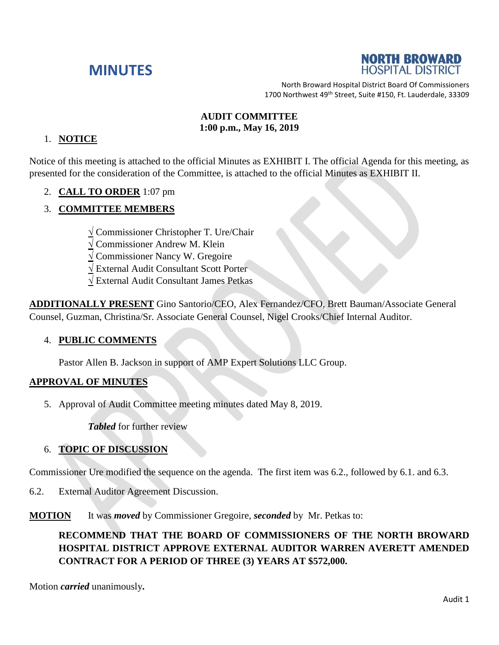# **MINUTES**



North Broward Hospital District Board Of Commissioners 1700 Northwest 49<sup>th</sup> Street, Suite #150, Ft. Lauderdale, 33309

#### **AUDIT COMMITTEE 1:00 p.m., May 16, 2019**

#### 1. **NOTICE**

Notice of this meeting is attached to the official Minutes as EXHIBIT I. The official Agenda for this meeting, as presented for the consideration of the Committee, is attached to the official Minutes as EXHIBIT II.

### 2. **CALL TO ORDER** 1:07 pm

### 3. **COMMITTEE MEMBERS**

**√** Commissioner Christopher T. Ure/Chair

**√** Commissioner Andrew M. Klein

**√** Commissioner Nancy W. Gregoire

**√** External Audit Consultant Scott Porter

**√** External Audit Consultant James Petkas

**ADDITIONALLY PRESENT** Gino Santorio/CEO, Alex Fernandez/CFO, Brett Bauman/Associate General Counsel, Guzman, Christina/Sr. Associate General Counsel, Nigel Crooks/Chief Internal Auditor.

#### 4. **PUBLIC COMMENTS**

Pastor Allen B. Jackson in support of AMP Expert Solutions LLC Group.

#### **APPROVAL OF MINUTES**

5. Approval of Audit Committee meeting minutes dated May 8, 2019.

*Tabled* for further review

#### 6. **TOPIC OF DISCUSSION**

Commissioner Ure modified the sequence on the agenda. The first item was 6.2., followed by 6.1. and 6.3.

6.2. External Auditor Agreement Discussion.

**MOTION** It was *moved* by Commissioner Gregoire, *seconded* by Mr. Petkas to:

## **RECOMMEND THAT THE BOARD OF COMMISSIONERS OF THE NORTH BROWARD HOSPITAL DISTRICT APPROVE EXTERNAL AUDITOR WARREN AVERETT AMENDED CONTRACT FOR A PERIOD OF THREE (3) YEARS AT \$572,000.**

Motion *carried* unanimously**.**